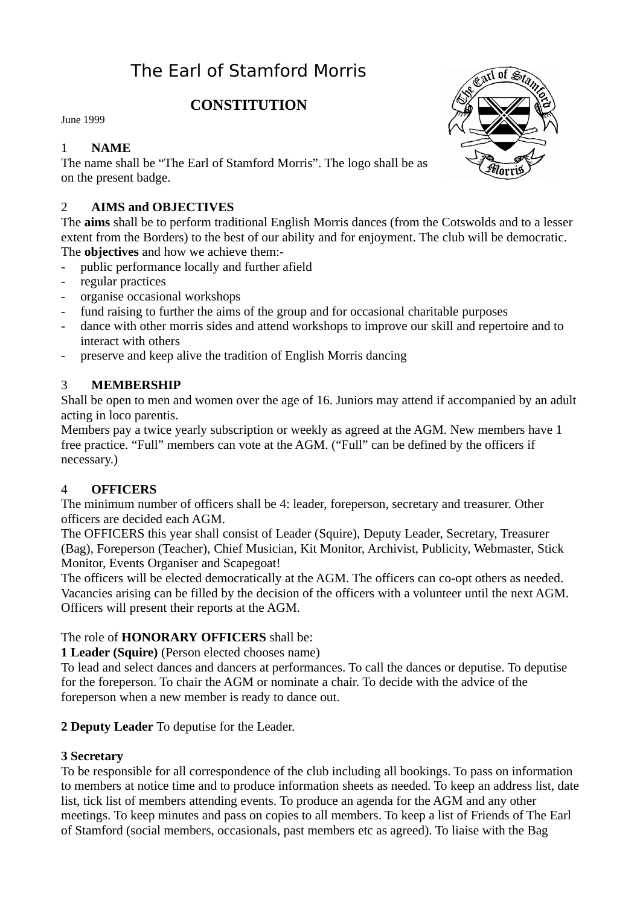# The Earl of Stamford Morris

## **CONSTITUTION**

June 1999

## 1 **NAME**

The name shall be "The Earl of Stamford Morris". The logo shall be as on the present badge.

## 2 **AIMS and OBJECTIVES**

The **aims** shall be to perform traditional English Morris dances (from the Cotswolds and to a lesser extent from the Borders) to the best of our ability and for enjoyment. The club will be democratic. The **objectives** and how we achieve them:-

- public performance locally and further afield
- regular practices
- organise occasional workshops
- fund raising to further the aims of the group and for occasional charitable purposes
- dance with other morris sides and attend workshops to improve our skill and repertoire and to interact with others
- preserve and keep alive the tradition of English Morris dancing

## 3 **MEMBERSHIP**

Shall be open to men and women over the age of 16. Juniors may attend if accompanied by an adult acting in loco parentis.

Members pay a twice yearly subscription or weekly as agreed at the AGM. New members have 1 free practice. "Full" members can vote at the AGM. ("Full" can be defined by the officers if necessary.)

#### 4 **OFFICERS**

The minimum number of officers shall be 4: leader, foreperson, secretary and treasurer. Other officers are decided each AGM.

The OFFICERS this year shall consist of Leader (Squire), Deputy Leader, Secretary, Treasurer (Bag), Foreperson (Teacher), Chief Musician, Kit Monitor, Archivist, Publicity, Webmaster, Stick Monitor, Events Organiser and Scapegoat!

The officers will be elected democratically at the AGM. The officers can co-opt others as needed. Vacancies arising can be filled by the decision of the officers with a volunteer until the next AGM. Officers will present their reports at the AGM.

## The role of **HONORARY OFFICERS** shall be:

**1 Leader (Squire)** (Person elected chooses name)

To lead and select dances and dancers at performances. To call the dances or deputise. To deputise for the foreperson. To chair the AGM or nominate a chair. To decide with the advice of the foreperson when a new member is ready to dance out.

#### **2 Deputy Leader** To deputise for the Leader.

#### **3 Secretary**

To be responsible for all correspondence of the club including all bookings. To pass on information to members at notice time and to produce information sheets as needed. To keep an address list, date list, tick list of members attending events. To produce an agenda for the AGM and any other meetings. To keep minutes and pass on copies to all members. To keep a list of Friends of The Earl of Stamford (social members, occasionals, past members etc as agreed). To liaise with the Bag

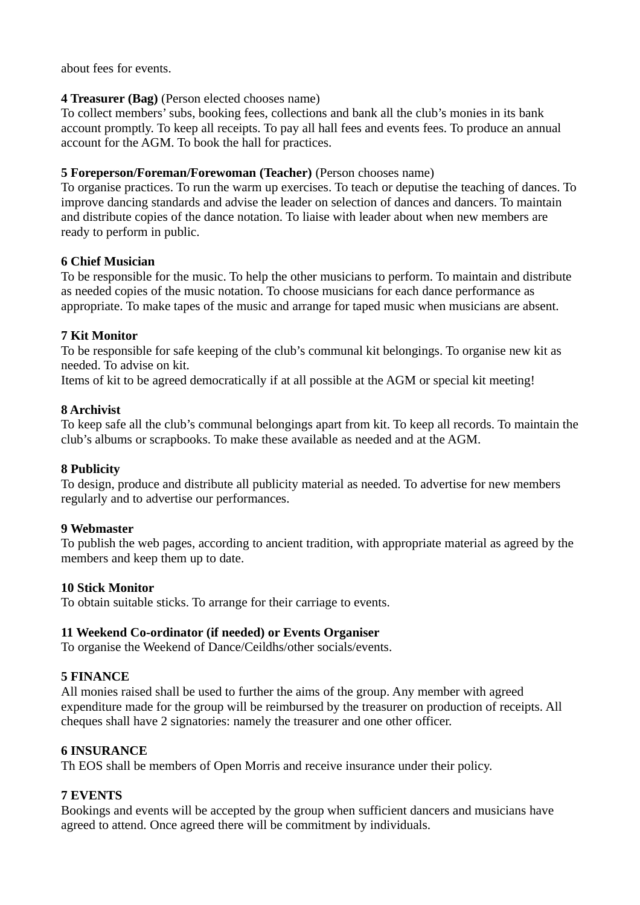about fees for events.

#### **4 Treasurer (Bag)** (Person elected chooses name)

To collect members' subs, booking fees, collections and bank all the club's monies in its bank account promptly. To keep all receipts. To pay all hall fees and events fees. To produce an annual account for the AGM. To book the hall for practices.

#### **5 Foreperson/Foreman/Forewoman (Teacher)** (Person chooses name)

To organise practices. To run the warm up exercises. To teach or deputise the teaching of dances. To improve dancing standards and advise the leader on selection of dances and dancers. To maintain and distribute copies of the dance notation. To liaise with leader about when new members are ready to perform in public.

#### **6 Chief Musician**

To be responsible for the music. To help the other musicians to perform. To maintain and distribute as needed copies of the music notation. To choose musicians for each dance performance as appropriate. To make tapes of the music and arrange for taped music when musicians are absent.

#### **7 Kit Monitor**

To be responsible for safe keeping of the club's communal kit belongings. To organise new kit as needed. To advise on kit.

Items of kit to be agreed democratically if at all possible at the AGM or special kit meeting!

#### **8 Archivist**

To keep safe all the club's communal belongings apart from kit. To keep all records. To maintain the club's albums or scrapbooks. To make these available as needed and at the AGM.

#### **8 Publicity**

To design, produce and distribute all publicity material as needed. To advertise for new members regularly and to advertise our performances.

#### **9 Webmaster**

To publish the web pages, according to ancient tradition, with appropriate material as agreed by the members and keep them up to date.

#### **10 Stick Monitor**

To obtain suitable sticks. To arrange for their carriage to events.

#### **11 Weekend Co-ordinator (if needed) or Events Organiser**

To organise the Weekend of Dance/Ceildhs/other socials/events.

#### **5 FINANCE**

All monies raised shall be used to further the aims of the group. Any member with agreed expenditure made for the group will be reimbursed by the treasurer on production of receipts. All cheques shall have 2 signatories: namely the treasurer and one other officer.

#### **6 INSURANCE**

Th EOS shall be members of Open Morris and receive insurance under their policy.

#### **7 EVENTS**

Bookings and events will be accepted by the group when sufficient dancers and musicians have agreed to attend. Once agreed there will be commitment by individuals.